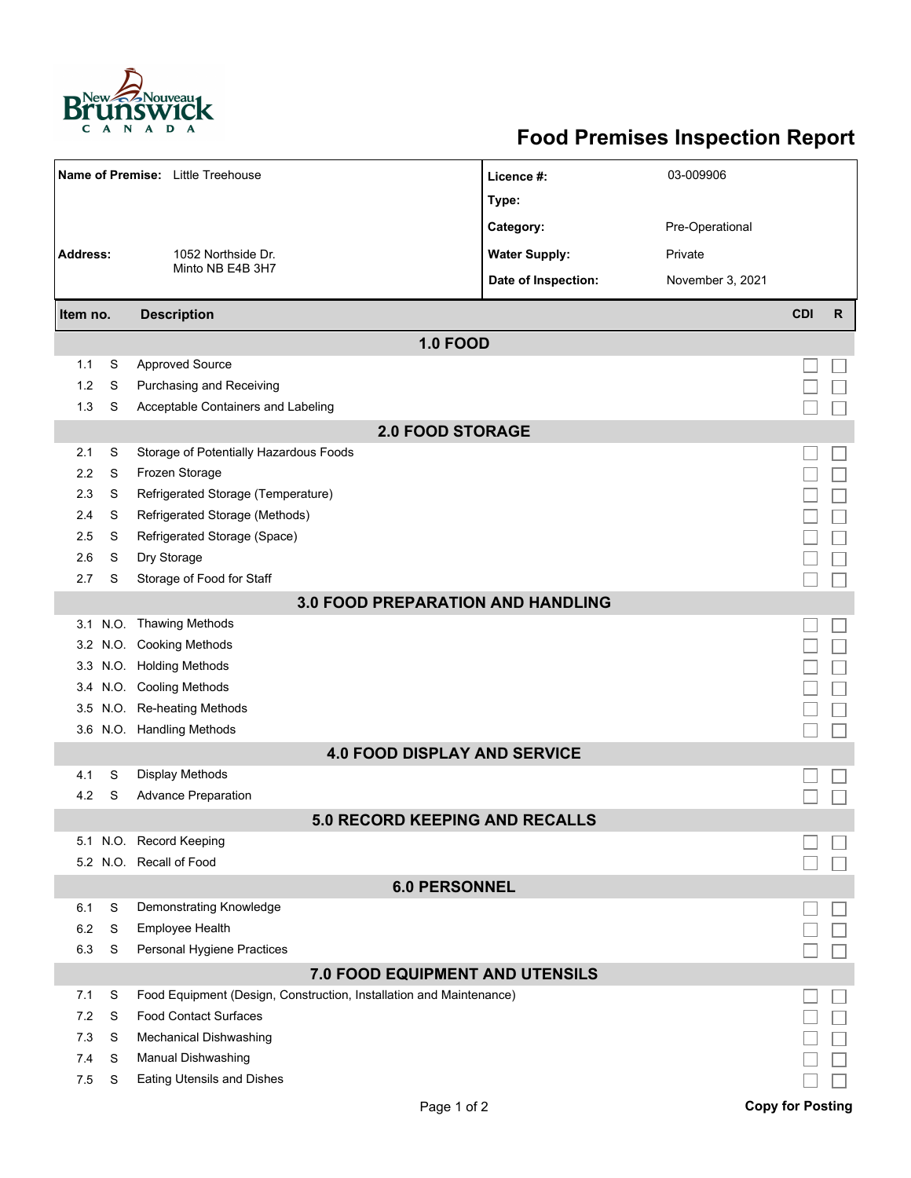

## **Food Premises Inspection Report**

|                                          |   | Name of Premise: Little Treehouse                                   | Licence #:           | 03-009906        |                         |              |  |  |  |  |  |
|------------------------------------------|---|---------------------------------------------------------------------|----------------------|------------------|-------------------------|--------------|--|--|--|--|--|
|                                          |   |                                                                     | Type:                |                  |                         |              |  |  |  |  |  |
|                                          |   |                                                                     | Category:            | Pre-Operational  |                         |              |  |  |  |  |  |
| <b>Address:</b>                          |   | 1052 Northside Dr.                                                  | <b>Water Supply:</b> | Private          |                         |              |  |  |  |  |  |
|                                          |   | Minto NB E4B 3H7                                                    | Date of Inspection:  | November 3, 2021 |                         |              |  |  |  |  |  |
|                                          |   |                                                                     |                      |                  |                         |              |  |  |  |  |  |
| Item no.                                 |   | <b>Description</b>                                                  |                      |                  | <b>CDI</b>              | $\mathsf{R}$ |  |  |  |  |  |
|                                          |   | <b>1.0 FOOD</b>                                                     |                      |                  |                         |              |  |  |  |  |  |
| 1.1                                      | S | <b>Approved Source</b>                                              |                      |                  |                         |              |  |  |  |  |  |
| 1.2                                      | S | Purchasing and Receiving                                            |                      |                  |                         |              |  |  |  |  |  |
| 1.3                                      | S | Acceptable Containers and Labeling                                  |                      |                  |                         |              |  |  |  |  |  |
| <b>2.0 FOOD STORAGE</b>                  |   |                                                                     |                      |                  |                         |              |  |  |  |  |  |
| 2.1                                      | S | Storage of Potentially Hazardous Foods                              |                      |                  |                         |              |  |  |  |  |  |
| 2.2                                      | S | Frozen Storage                                                      |                      |                  |                         |              |  |  |  |  |  |
| 2.3                                      | S | Refrigerated Storage (Temperature)                                  |                      |                  |                         |              |  |  |  |  |  |
| 2.4                                      | S | Refrigerated Storage (Methods)                                      |                      |                  |                         |              |  |  |  |  |  |
| 2.5                                      | S | Refrigerated Storage (Space)                                        |                      |                  |                         |              |  |  |  |  |  |
| 2.6                                      | S | Dry Storage                                                         |                      |                  |                         |              |  |  |  |  |  |
| 2.7                                      | S | Storage of Food for Staff                                           |                      |                  |                         |              |  |  |  |  |  |
| <b>3.0 FOOD PREPARATION AND HANDLING</b> |   |                                                                     |                      |                  |                         |              |  |  |  |  |  |
|                                          |   | 3.1 N.O. Thawing Methods                                            |                      |                  |                         |              |  |  |  |  |  |
|                                          |   | 3.2 N.O. Cooking Methods                                            |                      |                  |                         |              |  |  |  |  |  |
|                                          |   | 3.3 N.O. Holding Methods                                            |                      |                  |                         |              |  |  |  |  |  |
|                                          |   | 3.4 N.O. Cooling Methods                                            |                      |                  |                         |              |  |  |  |  |  |
| 3.5                                      |   | N.O. Re-heating Methods                                             |                      |                  |                         |              |  |  |  |  |  |
|                                          |   | 3.6 N.O. Handling Methods                                           |                      |                  |                         |              |  |  |  |  |  |
|                                          |   | <b>4.0 FOOD DISPLAY AND SERVICE</b>                                 |                      |                  |                         |              |  |  |  |  |  |
| 4.1                                      | S | Display Methods                                                     |                      |                  |                         |              |  |  |  |  |  |
| 4.2                                      | S | <b>Advance Preparation</b>                                          |                      |                  |                         |              |  |  |  |  |  |
|                                          |   | <b>5.0 RECORD KEEPING AND RECALLS</b>                               |                      |                  |                         |              |  |  |  |  |  |
|                                          |   | 5.1 N.O. Record Keeping                                             |                      |                  |                         |              |  |  |  |  |  |
|                                          |   | 5.2 N.O. Recall of Food                                             |                      |                  |                         |              |  |  |  |  |  |
|                                          |   | <b>6.0 PERSONNEL</b>                                                |                      |                  |                         |              |  |  |  |  |  |
| 6.1                                      | S | Demonstrating Knowledge                                             |                      |                  |                         |              |  |  |  |  |  |
| 6.2                                      | S | Employee Health                                                     |                      |                  |                         |              |  |  |  |  |  |
| 6.3                                      | S | Personal Hygiene Practices                                          |                      |                  |                         |              |  |  |  |  |  |
| 7.0 FOOD EQUIPMENT AND UTENSILS          |   |                                                                     |                      |                  |                         |              |  |  |  |  |  |
| 7.1                                      | S | Food Equipment (Design, Construction, Installation and Maintenance) |                      |                  |                         |              |  |  |  |  |  |
| 7.2                                      | S | <b>Food Contact Surfaces</b>                                        |                      |                  |                         |              |  |  |  |  |  |
| 7.3                                      | S | <b>Mechanical Dishwashing</b>                                       |                      |                  |                         |              |  |  |  |  |  |
| 7.4                                      | S | Manual Dishwashing                                                  |                      |                  |                         |              |  |  |  |  |  |
| 7.5                                      | S | <b>Eating Utensils and Dishes</b>                                   |                      |                  |                         |              |  |  |  |  |  |
|                                          |   | Page 1 of 2                                                         |                      |                  | <b>Copy for Posting</b> |              |  |  |  |  |  |